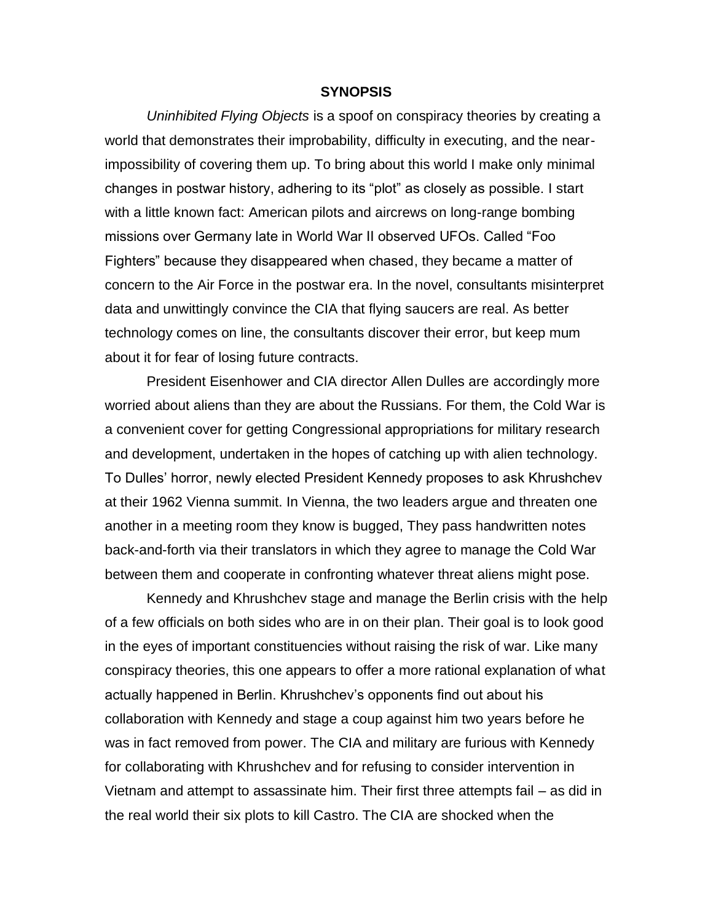## **SYNOPSIS**

*Uninhibited Flying Objects* is a spoof on conspiracy theories by creating a world that demonstrates their improbability, difficulty in executing, and the nearimpossibility of covering them up. To bring about this world I make only minimal changes in postwar history, adhering to its "plot" as closely as possible. I start with a little known fact: American pilots and aircrews on long-range bombing missions over Germany late in World War II observed UFOs. Called "Foo Fighters" because they disappeared when chased, they became a matter of concern to the Air Force in the postwar era. In the novel, consultants misinterpret data and unwittingly convince the CIA that flying saucers are real. As better technology comes on line, the consultants discover their error, but keep mum about it for fear of losing future contracts.

President Eisenhower and CIA director Allen Dulles are accordingly more worried about aliens than they are about the Russians. For them, the Cold War is a convenient cover for getting Congressional appropriations for military research and development, undertaken in the hopes of catching up with alien technology. To Dulles' horror, newly elected President Kennedy proposes to ask Khrushchev at their 1962 Vienna summit. In Vienna, the two leaders argue and threaten one another in a meeting room they know is bugged, They pass handwritten notes back-and-forth via their translators in which they agree to manage the Cold War between them and cooperate in confronting whatever threat aliens might pose.

Kennedy and Khrushchev stage and manage the Berlin crisis with the help of a few officials on both sides who are in on their plan. Their goal is to look good in the eyes of important constituencies without raising the risk of war. Like many conspiracy theories, this one appears to offer a more rational explanation of what actually happened in Berlin. Khrushchev's opponents find out about his collaboration with Kennedy and stage a coup against him two years before he was in fact removed from power. The CIA and military are furious with Kennedy for collaborating with Khrushchev and for refusing to consider intervention in Vietnam and attempt to assassinate him. Their first three attempts fail – as did in the real world their six plots to kill Castro. The CIA are shocked when the